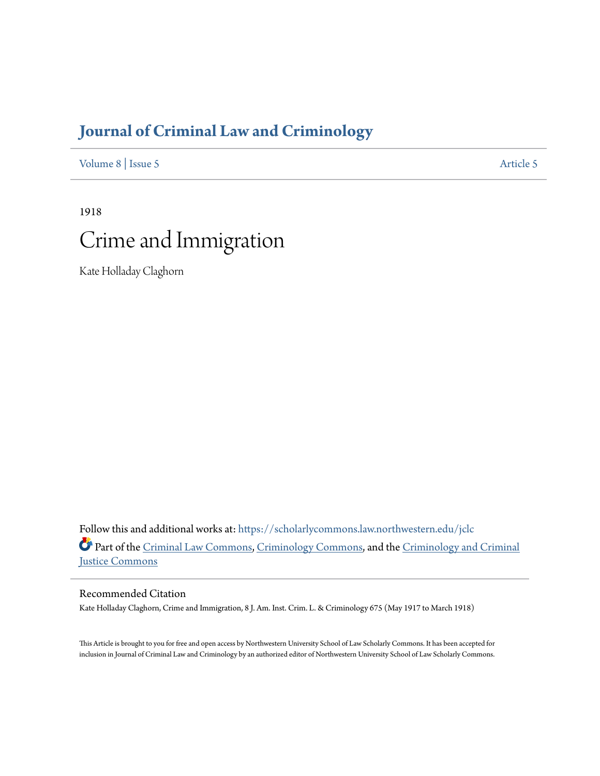# **[Journal of Criminal Law and Criminology](https://scholarlycommons.law.northwestern.edu/jclc?utm_source=scholarlycommons.law.northwestern.edu%2Fjclc%2Fvol8%2Fiss5%2F5&utm_medium=PDF&utm_campaign=PDFCoverPages)**

[Volume 8](https://scholarlycommons.law.northwestern.edu/jclc/vol8?utm_source=scholarlycommons.law.northwestern.edu%2Fjclc%2Fvol8%2Fiss5%2F5&utm_medium=PDF&utm_campaign=PDFCoverPages) | [Issue 5](https://scholarlycommons.law.northwestern.edu/jclc/vol8/iss5?utm_source=scholarlycommons.law.northwestern.edu%2Fjclc%2Fvol8%2Fiss5%2F5&utm_medium=PDF&utm_campaign=PDFCoverPages) [Article 5](https://scholarlycommons.law.northwestern.edu/jclc/vol8/iss5/5?utm_source=scholarlycommons.law.northwestern.edu%2Fjclc%2Fvol8%2Fiss5%2F5&utm_medium=PDF&utm_campaign=PDFCoverPages)

# 1918 Crime and Immigration

Kate Holladay Claghorn

Follow this and additional works at: [https://scholarlycommons.law.northwestern.edu/jclc](https://scholarlycommons.law.northwestern.edu/jclc?utm_source=scholarlycommons.law.northwestern.edu%2Fjclc%2Fvol8%2Fiss5%2F5&utm_medium=PDF&utm_campaign=PDFCoverPages) Part of the [Criminal Law Commons](http://network.bepress.com/hgg/discipline/912?utm_source=scholarlycommons.law.northwestern.edu%2Fjclc%2Fvol8%2Fiss5%2F5&utm_medium=PDF&utm_campaign=PDFCoverPages), [Criminology Commons](http://network.bepress.com/hgg/discipline/417?utm_source=scholarlycommons.law.northwestern.edu%2Fjclc%2Fvol8%2Fiss5%2F5&utm_medium=PDF&utm_campaign=PDFCoverPages), and the [Criminology and Criminal](http://network.bepress.com/hgg/discipline/367?utm_source=scholarlycommons.law.northwestern.edu%2Fjclc%2Fvol8%2Fiss5%2F5&utm_medium=PDF&utm_campaign=PDFCoverPages) [Justice Commons](http://network.bepress.com/hgg/discipline/367?utm_source=scholarlycommons.law.northwestern.edu%2Fjclc%2Fvol8%2Fiss5%2F5&utm_medium=PDF&utm_campaign=PDFCoverPages)

## Recommended Citation

Kate Holladay Claghorn, Crime and Immigration, 8 J. Am. Inst. Crim. L. & Criminology 675 (May 1917 to March 1918)

This Article is brought to you for free and open access by Northwestern University School of Law Scholarly Commons. It has been accepted for inclusion in Journal of Criminal Law and Criminology by an authorized editor of Northwestern University School of Law Scholarly Commons.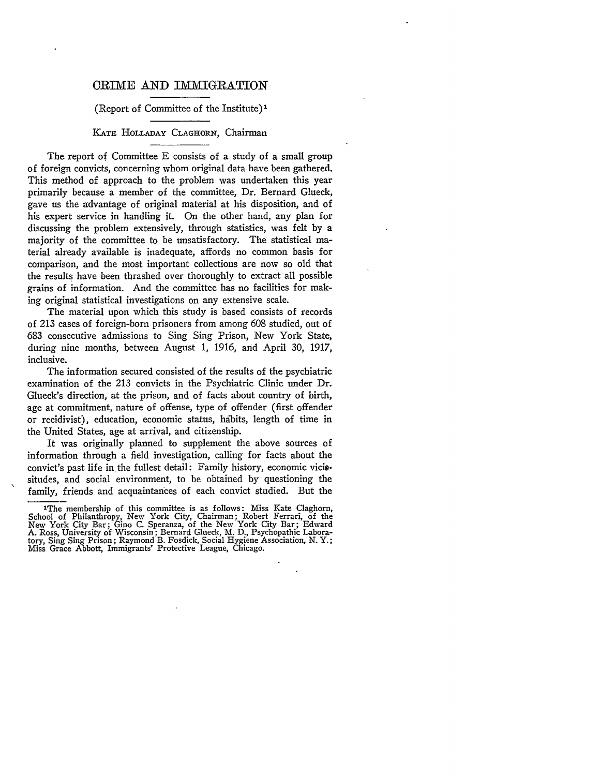## CRIMIE AND IMMIGRATION

## (Report of Committee of the Institute)1

## KATE HOLLADAY CLAGHORN, Chairman

The report of Committee E consists of a study of a small group of foreign convicts, concerning whom original data have been gathered. This method of approach to the problem was undertaken this year primarily because a member of the committee, Dr. Bernard Glueck, gave us the advantage of original material at his disposition, and of his expert service in handling it. On the other hand, any plan for discussing the problem extensively, through statistics, was felt **by** a majority of the committee to be unsatisfactory. The statistical material already available is inadequate, affords no common basis for comparison, and the most important collections are now so old that the results have been thrashed over thoroughly to extract all possible grains of information. And the committee has no facilities for making original statistical investigations on any extensive scale.

The material upon which this study is based consists of records of 213 cases of foreign-born prisoners from among 608 studied, out of 683 consecutive admissions to Sing Sing Prison, New York State, during nine months, between August 1, 1916, and April 30, 1917, inclusive.

The information secured consisted of the results of the psychiatric examination of the 213 convicts in the Psychiatric Clinic under Dr. Glueck's direction, at the prison, and of facts about country of birth, age at commitment, nature of offense, type of offender (first offender or recidivist), education, economic status, habits, length of time in the United States, age at arrival, and citizenship.

It was originally planned to supplement the above sources of information through a field investigation, calling for facts about the convict's past life in the fullest detail: Family history, economic vicissitudes, and social environment, to **be** obtained **by** questioning the family, friends and acquaintances of each convict studied. But the

<sup>1</sup> The membership of this committee is as follows: Miss Kate Claghorn, School of Philanthropy, New York City, Chairman; Robert Ferrari, of the New York City Bar; Gino C. Speranza, of the New York City Bar; Edward<br>A. Ross, University of Wisconsin; Bernard Glueck, M. D., Psychopathic Labora-<br>tory, Sing Sing Prison; Raymond B. Fosdick, Social Hygiene Association, N. Miss Grace Abbott, Immigrants' Protective League, Chicago.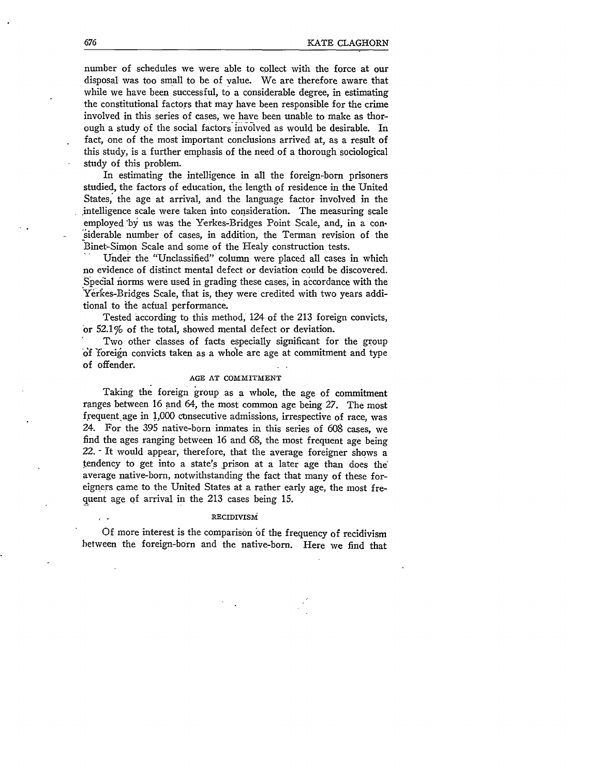number of schedules we were able to collect with the force at our disposal was too small to be of value. We are therefore aware that while we have been successful, to a considerable degree, in estimating the constitutional factors that may have been responsible for the crime involved in this series of cases, we have been unable to make as thorough a study of the social factors involved as would be desirable. In fact, one of the most important conclusions arrived at, as a result of this study, is a further emphasis of the need of a thorough sociological study of this problem.

In estimating the intelligence in all the foreign-born prisoners studied, the factors of education, the length of residence in the United States, the age at arrival, and the language factor involved in the .intelligence scale were taken into consideration. The measuring scale employed **-by** us was the Yerkes-Bridges Point Scale, and, in a con- 'siderable number of cases, in addition, the Terman revision of the Binet-Simon Scale and some of the Healy construction tests.

Under the "Unclassified" column were placed all cases in which no evidence of distinct mental defect or deviation could be discovered. Special norms were used in grading these cases, in accordance with the Yerkes-Bridges Scale, that is, they were credited with two years additional to the acfual performance.

Tested according to this method, 124 of the 213 foreign convicts, or 52.1% of the total, showed mental defect or deviation.

Two other classes of facts especially significant for the group of foreign convicts taken as a whole are age at commitment and type of offender.

#### **AGE AT** COMMITMENT

Taking the foreign group as a whole, the age of commitment ranges between 16 and 64, the most common age being 27. The most frequent age in 1,000 cbnsecutive admissions, irrespective of race, was 24. For the 395 native-born inmates in this series of 608 cases, we find the ages ranging between 16 and 68, the most frequent age being 22. **-** It would appear, therefore, that the average foreigner shows a tendency to get into a state's prison at a later age than does the average native-born, notwithstanding the fact that many of these foreigners came to the United States at a rather early age, the most frequent age of arrival in the 213 cases being 15.

#### **RECIDIVISM**

Of more interest is the comparison **of** the frequency of recidivism between the foreign-born and the native-born. Here we find that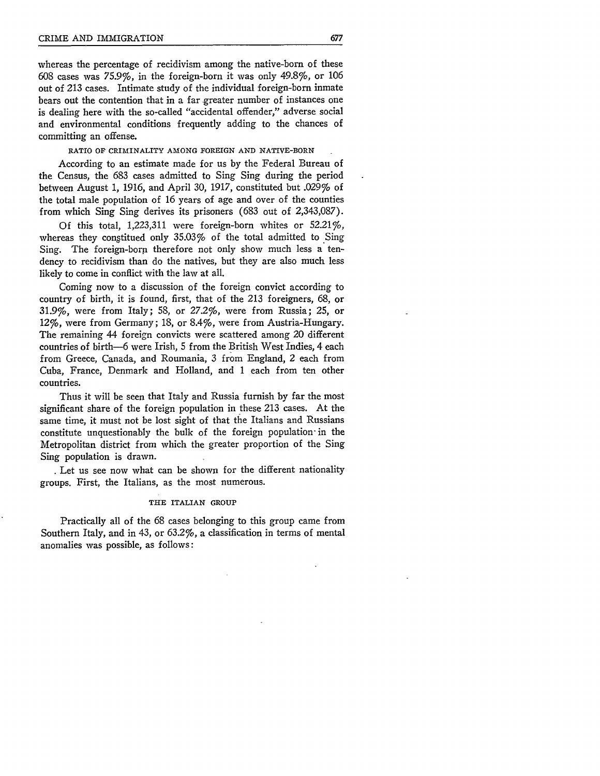whereas the percentage of recidivism among the native-born of these 608 cases was *75.9%,* in the foreign-born it was only 49.89o, or 106 out of 213 cases. Intimate study of the individual foreign-born inmate bears out the contention that in a far greater number of instances one is dealing here with the so-called "accidental offender," adverse social and environmental conditions frequently adding to the chances of committing an offense.

RATIO OF CRIMINALITY **AMONG FOREIGN AND** NATIVE-BORN

According to an estimate made for us by the Federal Bureau of the Census, the 683 cases admitted to Sing Sing during the period between August 1, 1916, and April 30, 1917, constituted but .029% of the total male population of 16 years of age and over of the counties from which Sing Sing derives its prisoners (683 out of 2,343,087).

Of this total, 1,223,311 were foreign-born whites or 52.21%, whereas they constitued only 35.03% of the total admitted to Sing Sing. The foreign-born therefore not only show much less a tendency to recidivism than do the natives, but they are also much less likely to come in conflict with the law at all.

Coming now to a discussion of the foreign convict according to country of birth, it is found, first, that of the 213 foreigners, 68, or 31.9%, were from Italy; 58, or 27.2%, were from Russia; 25, or 12%, were from Germany; 18, or 8.4%, were from Austria-Hungary. The remaining 44 foreign convicts were scattered among 20 different countries of birth--6 were Irish, 5 from the British West Indies, 4 each from Greece, Canada, and Roumania, 3 from England, 2 each from Cuba, France, Denmark and Holland, and 1 each from ten other countries.

Thus it will be seen that Italy and Russia furnish by far the most significant share of the foreign population in these 213 cases. At the same time, it must not be lost sight of that the Italians and Russians constitute unquestionably the bulk of the foreign population in the Metropolitan district from which the greater proportion of the Sing Sing population is drawn.

**.** Let us see now what can be shown for the different nationality groups. First, the Italians, as the most numerous.

#### THE ITALIAN GROUP

Practically all of the 68 cases belonging to this group came from Southern Italy, and in 43, or 63.2%, a classification in terms of mental anomalies was possible, as follows: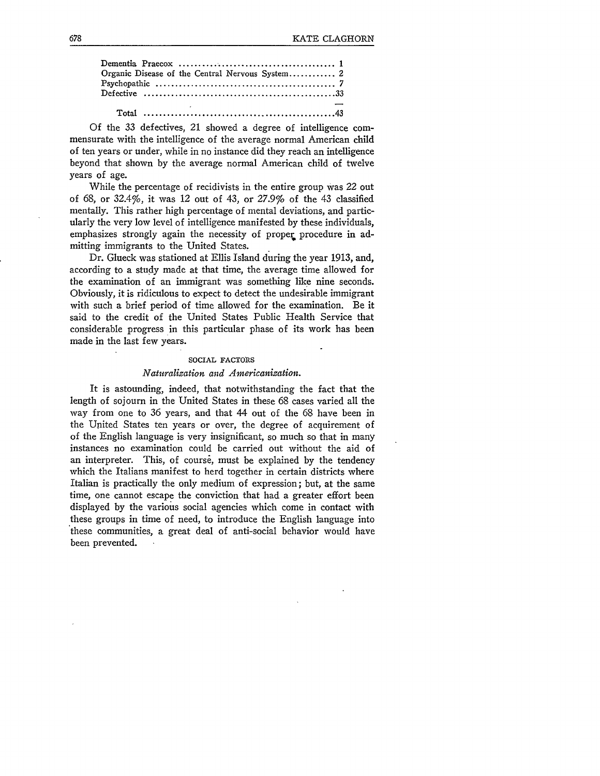| Organic Disease of the Central Nervous System 2 |
|-------------------------------------------------|
|                                                 |
|                                                 |

Of the 33 defectives, 21 showed a degree of intelligence commensurate with the intelligence of the average normal American child of ten years or under, while in no instance did they reach an intelligence beyond that shown by the average normal American child of twelve years of age.

While the percentage of recidivists in the entire group was 22 out of 68, or 32.4%, it was 12 out of 43, or 27.9% of the 43 classified mentally. This rather high percentage of mental deviations, and particularly the very low level of intelligence manifested by these individuals, emphasizes strongly again the necessity of proper procedure in admitting immigrants to the United States.

Dr. Glueck was stationed at Ellis Island during the year 1913, and, according to a study made at that time, the average time allowed for the examination of an immigrant was something like nine seconds. Obviously, it is ridiculous to expect to detect the undesirable immigrant with such a brief period of time allowed for the examination. Be it said to the credit of the United States Public Health Service that considerable progress in this particular phase of its work has been made in the last few years.

#### **SOCIAL FACTORS**

#### *Naturalization and Americanization.*

It is astounding, indeed, that notwithstanding the fact that the length of sojourn in the United States in these 68 cases varied all the way from one to 36 years, and that 44 out of the 68 have been in the United States ten years or over, the degree of acquirement of of the English language is very insignificant, so much so that in many instances no examination could be carried out without the aid of an interpreter. This, of course, must be explained by the tendency which the Italians manifest to herd together in certain districts where Italian is practically the only medium of expression; but, at the same time, one cannot escape the conviction that had a greater effort been displayed by the various social agencies which come in contact with these groups in time of need, to introduce the English language into these communities, a great deal of anti-social behavior would have been prevented.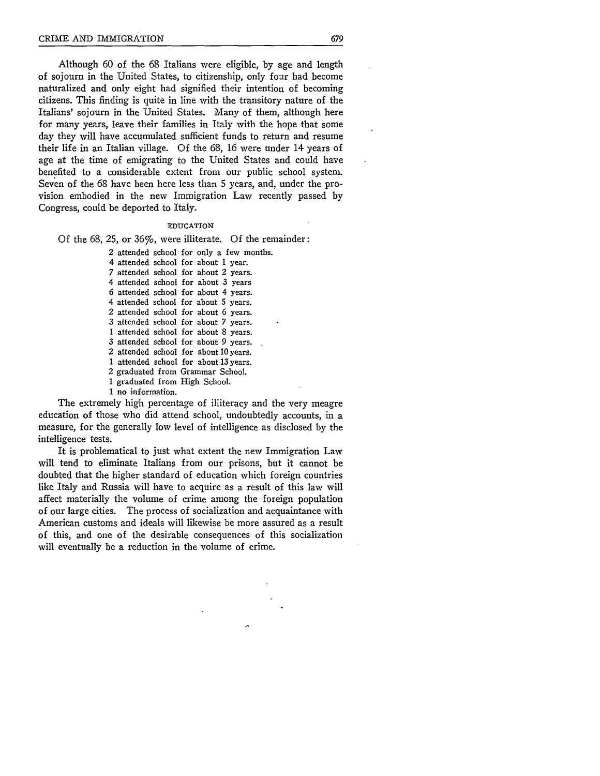Although 60 of the 68 Italians were eligible, by age and length of sojourn in the United States, to citizenship, only four had become naturalized and only eight had signified their intention of becoming citizens. This finding is quite in line with the transitory nature of the Italians' sojourn in the United States. Many of them, although here for many years, leave their families in Italy with the hope that some day they will have accumulated sufficient funds to return and resume their life in an Italian village. Of the 68, 16 were under 14 years of age at the time of emigrating to the United States and could have benefited to a considerable extent from our public school system. Seven of the 68 have been here less than 5 years, and, under the provision embodied in the new Immigration Law recently passed by Congress, could be deported to Italy.

## **EDUCATION**

Of the 68, 25, or 36%, were illiterate. Of the remainder:

2 attended school for only a few months. 4 attended school for about 1 year. 7 attended school for about 2 years. 4 attended school for about 3 years 6 attended school for about 4 years. 4 attended school for about **5** years. 2 attended school for about 6 years. 3 attended school for about 7 years. 1 attended school for about 8 years. 3 attended school for about *9* years. 2 attended school for about 10 years. 1 attended school for about **13** years. 2 graduated from Grammar School. 1 graduated from High School. **I** no information.

The extremely high percentage of illiteracy and the very meagre education of those who did attend school, undoubtedly accounts, in a measure, for the generally low level of intelligence as disclosed by the intelligence tests.

It is problematical to just what extent the new Immigration Law will tend to eliminate Italians from our prisons, but it cannot be doubted that the higher standard of education which foreign countries like Italy and Russia will have to acquire as a result of this law will affect materially the volume of crime among the foreign population of our large cities. The process of socialization and acquaintance with American customs and ideals will likewise be more assured as a result of this, and one of the desirable consequences of this socialization will eventually be a reduction in the volume of crime.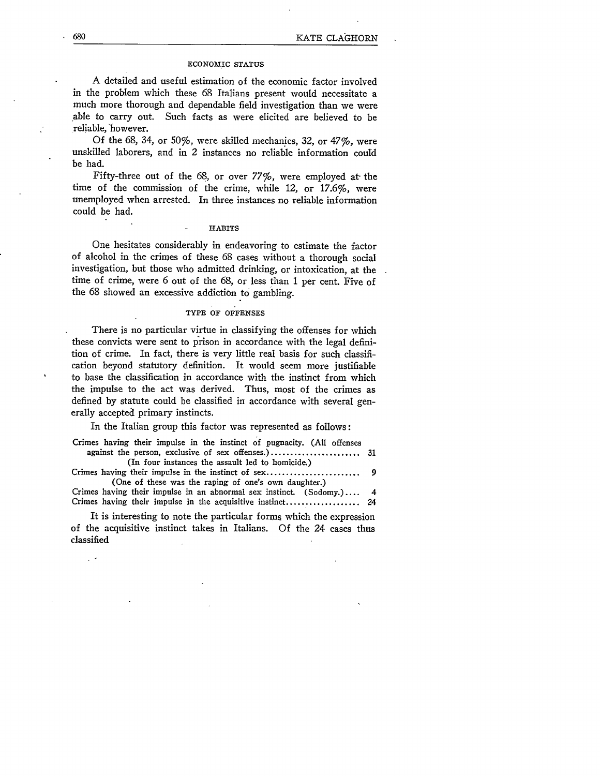### ECONOMIC STATUS

A detailed and useful estimation of the economic factor involved in the problem which these 68 Italians present would necessitate a much more thorough and dependable field investigation than we were able to carry out. Such facts as were elicited are believed to be reliable, however.

Of the 68, 34, or 50%, were skilled mechanics, 32, or 47%, were unskilled laborers, and in 2 instances no reliable information could be had.

Fifty-three out of the 68, or over  $77\%$ , were employed at the time of the commission of the crime, while  $12$ , or  $17.6\%$ , were unemployed when arrested. In three instances no reliable information could be had.

#### HABITS

One hesitates considerably in endeavoring to estimate the factor of alcohol in the crimes of these 68 cases without a thorough social investigation, but those who admitted drinking, or intoxication, at the time of crime, were 6 out of the 68, or less than 1 per cent. Five of the 68 showed an excessive addiction to gambling.

## TYPE OF OFFENSES

There is no particular virtue in classifying the offenses for which these convicts were sent to prison in accordance with the legal definition of crime. In fact, there is very little real basis for such classification beyond statutory definition. It would seem more justifiable to base the classification in accordance with the instinct from which the impulse to the act was derived. Thus, most of the crimes as defined by statute could be classified in accordance with several generally accepted primary instincts.

In the Italian group this factor was represented as follows:

| Crimes having their impulse in the instinct of pugnacity. (All offenses |  |
|-------------------------------------------------------------------------|--|
|                                                                         |  |
| (In four instances the assault led to homicide.)                        |  |
|                                                                         |  |
| (One of these was the raping of one's own daughter.)                    |  |
| Crimes having their impulse in an abnormal sex instinct. (Sodomy.) 4    |  |
|                                                                         |  |

It is interesting to note the particular forms which the expression of the acquisitive instinct takes in Italians. Of the 24 cases thus classified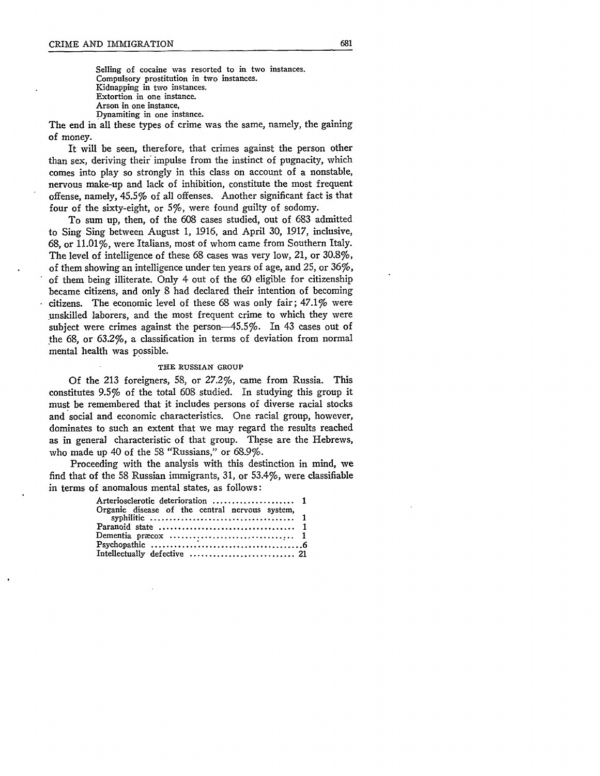Selling of cocaine was resorted to in two instances. Compulsory prostitution in two instances. Kidnapping in two instances. Extortion in one instance. Arson in one instance, Dynamiting in one instance.

The end in all these types of crime was the same, namely, the gaining of money.

It will be seen, therefore, that crimes against the person other than sex, deriving their impulse from the instinct of pugnacity, which comes into play so strongly in this class on account of a nonstable, nervous make-up and lack of inhibition, constitute the most frequent offense, namely, 45.5% of all offenses. Another significant fact is that four of the sixty-eight, or 5%, were found guilty of sodomy.

To sum up, then, of the 608 cases studied, out of **683** admitted to Sing Sing between August 1, 1916, and April 30, 1917, inclusive, 68, or 11.01%, were Italians, most of whom came from Southern Italy. The level of intelligence of these 68 cases was very low, 21, or 30.8%, of them showing an intelligence under ten years of age, and **25,** or 36%, of them being illiterate. Only 4 out of the 60 eligible for citizenship became citizens, and only 8 had declared their intention of becoming citizens. The economic level of these 68 was only fair; 47.1% were unskilled laborers, and the most frequent crime to which they were subject were crimes against the person-45.5%. In 43 cases out of the 68, or 63.2%, a classification in terms of deviation from normal mental health was possible.

#### **THE** RUSSIAN GROUP

Of the 213 foreigners, 58, or 27.2%, came from Russia. This constitutes 9.5% of the total 608 studied. In studying this group it must be remembered that it includes persons of diverse racial stocks and social and economic characteristics. One racial group, however, dominates to such an extent that we may regard the results reached as in general characteristic of that group. These are the Hebrews, who made up 40 of the **58** "Russians," or 68.9%.

Proceeding with the analysis with this destinction in mind, we find that of the 58 Russian immigrants, 31, or 53.4%, were classifiable in terms of anomalous mental states, as follows:

| Arteriosclerotic deterioration  1              |  |
|------------------------------------------------|--|
| Organic disease of the central nervous system, |  |
|                                                |  |
|                                                |  |
|                                                |  |
|                                                |  |
|                                                |  |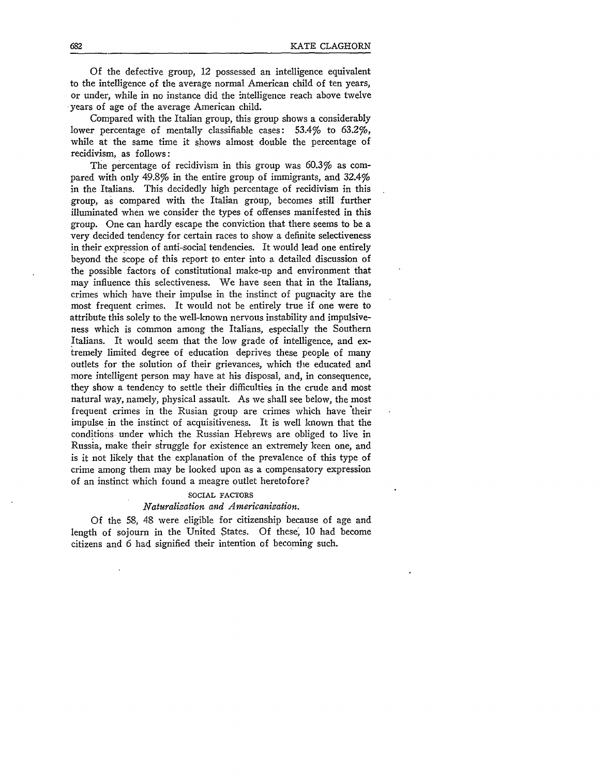Of the defective group, 12 possessed an intelligence equivalent to the intelligence of the average normal American child of ten years, or under, while in no instance did the intelligence reach above twelve years of age of the average American child.

Compared with the Italian group, this group shows a considerably lower percentage of mentally classifiable cases: 53.4% to 63.2%, while at the same time it shows almost double the percentage of recidivism, as follows:

The percentage of recidivism in this group was 60.3% as compared with only 49.8% in the entire group of immigrants, and 32.4% in the Italians. This decidedly high percentage of recidivism in this group, as compared with the Italian group, becomes still further illuminated when we consider the types of offenses manifested in this group. One can hardly escape the conviction that there seems to be a very decided tendency for certain races to show a definite selectiveness in their expression of anti-social tendencies. It would lead one entirely beyond the scope of this report to enter into a detailed discussion of the possible factors of constitutional make-up and environment that may influence this selectiveness. We have seen that in the Italians, crimes which have their impulse in the instinct of pugnacity are the most frequent crimes. It would not be entirely true if one were to attribute this solely to the well-known nervous instability and impulsiveness which is common among the Italians, especially the Southern Italians. It would seem that the low grade of intelligence, and extremely limited degree of education deprives these people of many outlets for the solution of their grievances, which the educated and more intelligent person may have at his disposal, and, in consequence, they show a tendency to settle their difficulties in the crude and most natural way, namely, physical assault. As we shall see below, the most frequent crimes in the Rusian group are crimes which have 'their impulse in the instinct of acquisitiveness. It is well known that the conditions under which the Russian Hebrews are obliged to live in Russia, make their struggle for existence an extremely keen one, and is it not likely that the explanation of the prevalence of this type of crime among them may be looked upon as a compensatory expression of an instinct which found a meagre outlet heretofore?

## SOCIAL FACTORS

## *Naturalization and Americanization.*

Of the 58, 48 were eligible for citizenship because of age and length of sojourn in the United States. Of these, 10 had become citizens and 6 had signified their intention of becoming such.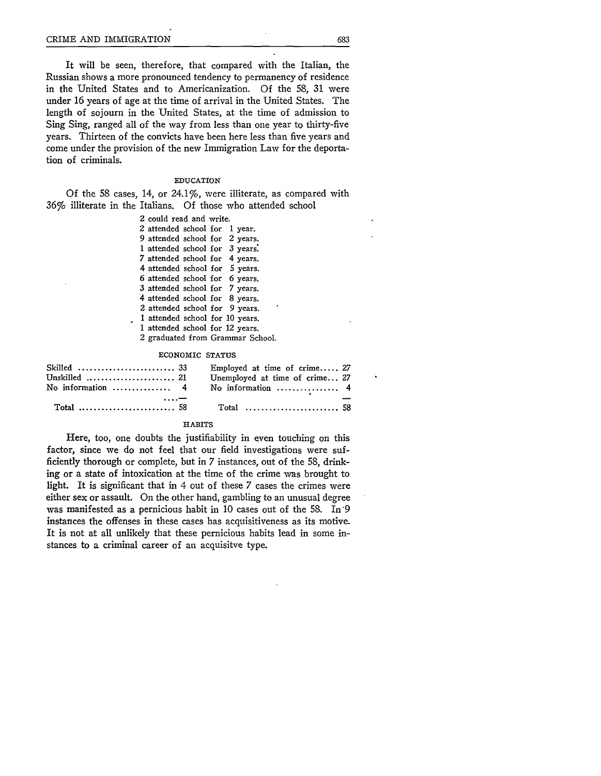It will be seen, therefore, that compared with the Italian, the Russian shows a more pronounced tendency to permanency of residence in the United States and to Americanization. Of the 58, 31 were under 16 years of age at the time of arrival in the United States. The length of sojourn in the United States, at the time of admission to Sing Sing, ranged all of the way from less than one year to thirty-five years. Thirteen of the convicts have been here less than five years and come under the provision of the new Immigration Law for the deportation of criminals.

#### **EDUCATION**

Of the 58 cases, 14, or 24.1%, were illiterate, as compared with 36% illiterate in the Italians. Of those who attended school

> 2 could read and write. 2 attended school for 1 year. 9 attended school for 2 years. 1 attended school for 3 years 7 attended school for 4 years. 4 attended school for 5 years. 6 attended school for 6 years. 3 attended school for 7 years. 4 attended school for 8 years. 2 attended school for 9 years. 1 attended school for 10 years. 1 attended school for 12 years. 2 graduated from Grammar School.

#### **ECONOMIC STATUS**

| Skilled  33                                | Employed at time of crime $27$ |
|--------------------------------------------|--------------------------------|
|                                            | Unemployed at time of crime 27 |
| No information $\ldots, \ldots, \ldots, 4$ |                                |
| $\cdots$                                   |                                |
|                                            | Total  58                      |

## **HABITS**

Here, too, one doubts the justifiability in even touching on this factor, since we do not feel that our field investigations were sufficiently thorough or complete, but in 7 instances, out of the 58, drinking or a state of intoxication at the time of the crime was brought to light. It is significant that in 4 out of these 7 cases the crimes were either sex or assault. On the other hand, gambling to an unusual degree was manifested as a pernicious habit in 10 cases out of the 58. In'9 instances the offenses in these cases has acquisitiveness as its motive. It is not at all unlikely that these pernicious habits lead in some instances to a criminal career of an acquisitve type.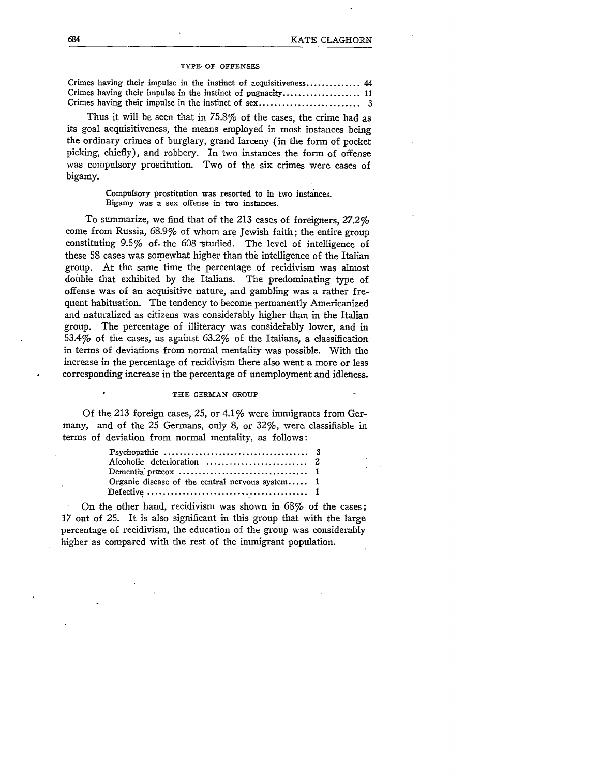#### TYPE- OF **OFFENSES**

|  |  |  |  | Crimes having their impulse in the instinct of acquisitiveness 44 |  |
|--|--|--|--|-------------------------------------------------------------------|--|
|  |  |  |  | Crimes having their impulse in the instinct of pugnacity 11       |  |
|  |  |  |  |                                                                   |  |

Thus it will be seen that in 75.8% of the cases, the crime had as its goal acquisitiveness, the means employed in most instances being the ordinary crimes of burglary, grand larceny (in the form of pocket picking, chiefly), and robbery. In two instances the form of offense was compulsory prostitution. Two of the six crimes were cases of bigamy.

> Compulsory prostitution was resorted to in two instances. Bigamy was a sex offense in two instances.

To summarize, we find that of the 213 cases of foreigners, 27.2% come from Russia, 68.9% of whom are Jewish faith; the entire group constituting  $9.5\%$  of the 608 studied. The level of intelligence of these 58 cases was somewhat higher than the intelligence of the Italian group. At the same time the percentage of recidivism was almost double that exhibited by the Italians. The predominating type of offense was of an acquisitive nature, and gambling was a rather frequent habituation. The tendency to become permanently Americanized and naturalized as citizens was considerably higher than in the Italian group. The percentage of illiteracy was considerably lower, and in 53.47o of the cases, as against 63.2% of the Italians, a classification in terms of deviations from normal mentality was possible. With the increase in the percentage of recidivism there also went a more or less corresponding increase in the percentage of unemployment and idleness.

#### **THE GERMAN GROUP**

Of the 213 foreign cases, 25, or 4.1% were immigrants from Germany, and of the 25 Germans, only 8, or 32%, were classifiable in terms of deviation from normal mentality, as follows:

| Organic disease of the central nervous system 1 |
|-------------------------------------------------|
|                                                 |
|                                                 |

On the other hand, recidivism was shown in  $68\%$  of the cases; 17 out of 25. It is also significant in this group that with the large percentage of recidivism, the education of the group was considerably higher as compared with the rest of the immigrant population.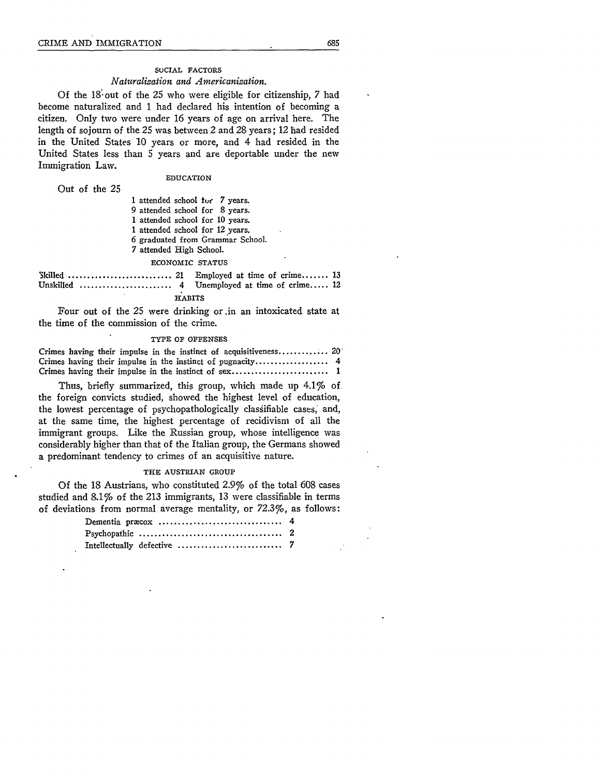# SUCIAL FACTORS

## *Naturalization and Americanization.*

Of the 18 out of the 25 who were eligible for citizenship, 7 had become naturalized and 1 had declared his intention of becoming a citizen. Only two were under 16 years of age on arrival here. The length of sojourn of the 25 was between *2* and 28 years; 12 had resided in the United States **10** years or more, and 4 had resided in the United States less than 5 years and are deportable under the new Immigration Law.

## **EDUCATION**

| Out of the 25 |                                  |  |
|---------------|----------------------------------|--|
|               | 1 attended school for 7 years.   |  |
|               | 9 attended school for 8 years.   |  |
|               | 1 attended school for 10 years.  |  |
|               | 1 attended school for 12 years.  |  |
|               | 6 graduated from Grammar School. |  |
|               | 7 attended High School.          |  |
|               | <b>ECONOMIC STATUS</b>           |  |

| <b>HABITS</b> |  |
|---------------|--|

Four out of the 25 were drinking or .in an intoxicated state at the time of the commission of the crime.

## TYPE OF OFFENSES

|  |  |  |  | Crimes having their impulse in the instinct of acquisitiveness 20 |  |
|--|--|--|--|-------------------------------------------------------------------|--|
|  |  |  |  |                                                                   |  |
|  |  |  |  |                                                                   |  |

Thus, briefly summarized, this group, which made up 4.1% of the foreign convicts studied, showed the highest level of education, the lowest percentage of psychopathologically clasgifiable cases, and, at the same time, the highest percentage of recidivism of all the immigrant groups. Like the Russian group, whose intelligence was considerably higher than that of the Italian group, the Germans showed a predominant tendency to crimes of an acquisitive nature.

## **THE** AUSTRIAN GROUP

Of the 18 Austrians, who constituted 2.9% of the total 608 cases studied and 8.1% of the 213 immigrants, **13** were classifiable in terms of deviations from normal average mentality, or *72.3%,* as follows: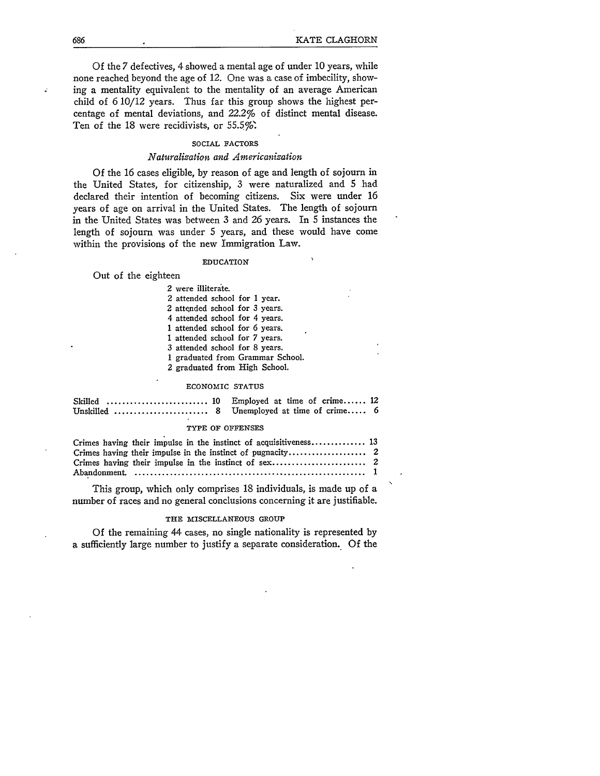Of the 7 defectives, 4 showed a mental age of under 10 years, while none reached beyond the age of 12. One was a case of imbecility, showing a mentality equivalent to the mentality of an average American child of 6 10/12 years. Thus far this group shows the highest percentage of mental deviations, and 22.2% of distinct mental disease. Ten of the 18 were recidivists, or  $55.5\%$ .

#### SOCIAL FACTORS

### *Naturalization and Americanization*

Of the 16 cases eligible, by reason of age and length of sojourn in the United States, for citizenship, 3 were naturalized and 5 had declared their intention of becoming citizens. Six were under 16 years of age on arrival in the United States. The length of sojourn in the United States was between 3 and 26 years. In 5 instances the length of sojourn was under 5 years, and these would have come within the provisions of the new Immigration Law.

#### **EDUCATION**

Out of the eighteen

| 2 were illiterate.               |  |
|----------------------------------|--|
| 2 attended school for 1 year.    |  |
| 2 attended school for 3 years.   |  |
| 4 attended school for 4 years.   |  |
| 1 attended school for 6 years.   |  |
| 1 attended school for 7 years.   |  |
| 3 attended school for 8 years.   |  |
| 1 graduated from Grammar School. |  |
| 2 graduated from High School.    |  |

#### ECONOMIC **STATUS**

## TYPE OF **OFFENSES**

|  | Crimes having their impulse in the instinct of acquisitiveness 13 |  |  |  |  |  |  |
|--|-------------------------------------------------------------------|--|--|--|--|--|--|
|  |                                                                   |  |  |  |  |  |  |
|  |                                                                   |  |  |  |  |  |  |
|  |                                                                   |  |  |  |  |  |  |

This group, which only comprises 18 individuals, is made up of a number of races and no general conclusions concerning it are justifiable.

## THE **MISCELLANEOUS** GROUP

Of the remaining 44 cases, no single nationality is represented by a sufficiently large number to justify a separate consideration. Of the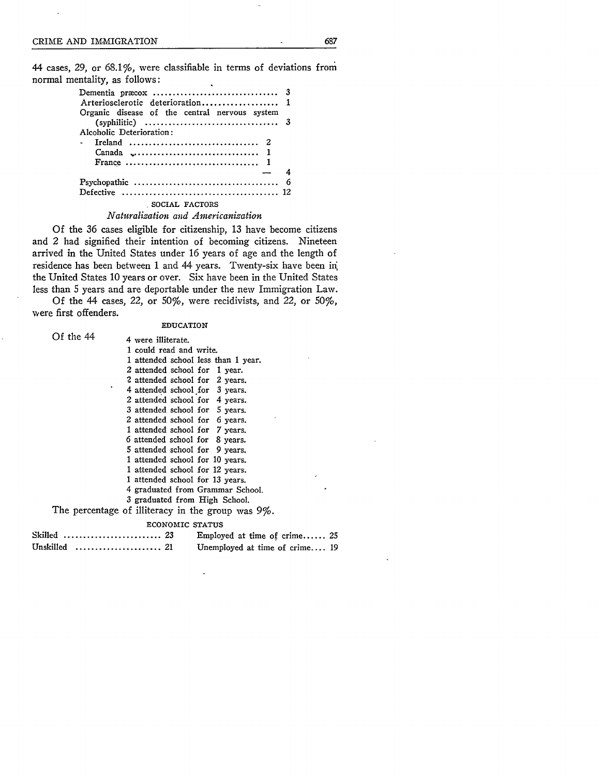44 cases, 29, or 68.1%, were classifiable in terms of deviations from normal mentality, as follows:

| Arteriosclerotic deterioration 1              |  |
|-----------------------------------------------|--|
| Organic disease of the central nervous system |  |
|                                               |  |
| Alcoholic Deterioration:                      |  |
| $\mathbf{a}$                                  |  |
|                                               |  |
|                                               |  |
|                                               |  |
|                                               |  |
|                                               |  |
| SOCIAL FACTORS                                |  |

## *Naturalization and Americanization*

Of the 36 cases eligible for citizenship, 13 have become citizens and 2 had signified their intention of becoming citizens. Nineteen arrived in the United States under 16 years of age and the length of residence has been between 1 and 44 years. Twenty-six have been in the United States 10 years or over. Six have been in the United States less than 5 years and are deportable under the new Immigration Law.

Of the 44 cases, 22, or 50%, were recidivists, and 22, or 50%, were first offenders.

## **EDUCATION**

| Of the 44     | 4 were illiterate.<br>1 could read and write.<br>1 attended school less than 1 year.<br>2 attended school for 1 year.<br>2 attended school for 2 years.<br>4 attended school for 3 years.<br>2 attended school for 4 years. |                                                       |
|---------------|-----------------------------------------------------------------------------------------------------------------------------------------------------------------------------------------------------------------------------|-------------------------------------------------------|
|               | 2 attended school for 6 years.                                                                                                                                                                                              |                                                       |
|               | 1 attended school for 7 years.                                                                                                                                                                                              |                                                       |
|               | 6 attended school for 8 years.                                                                                                                                                                                              |                                                       |
|               | 5 attended school for 9 years.                                                                                                                                                                                              |                                                       |
|               | 1 attended school for 10 years.                                                                                                                                                                                             |                                                       |
|               | 1 attended school for 12 years.                                                                                                                                                                                             |                                                       |
|               | 1 attended school for 13 years.                                                                                                                                                                                             |                                                       |
|               |                                                                                                                                                                                                                             | 4 graduated from Grammar School.                      |
|               | 3 graduated from High School.                                                                                                                                                                                               |                                                       |
|               |                                                                                                                                                                                                                             | The percentage of illiteracy in the group was $9\%$ . |
|               | <b>ECONOMIC STATUS</b>                                                                                                                                                                                                      |                                                       |
| Skilled  23   |                                                                                                                                                                                                                             | Employed at time of crime 25                          |
| Unskilled  21 |                                                                                                                                                                                                                             | Unemployed at time of crime $19$                      |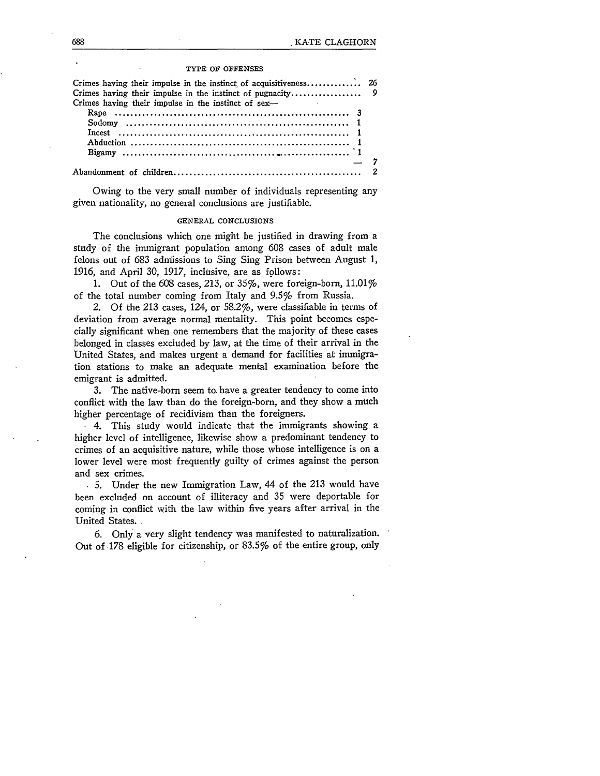#### TYPE OF **OFFENSES**

| Crimes having their impulse in the instinct of acquisitiveness 26 |  |
|-------------------------------------------------------------------|--|
|                                                                   |  |
| Crimes having their impulse in the instinct of sex-               |  |
|                                                                   |  |
|                                                                   |  |
|                                                                   |  |
|                                                                   |  |
|                                                                   |  |
|                                                                   |  |
|                                                                   |  |

Owing to the very small number of individuals representing any given nationality, no general conclusions are justifiable.

#### **GENERAL CONCLUSIONS**

The conclusions which one might be justified in drawing from a study of the immigrant population among 608 cases of adult male felons out of 683 admissions to Sing Sing Prison between August 1, 1916, and April 30, 1917, inclusive, are as follows:

1. Out of the 608 cases, 213, or 35%, were foreign-born, 11.01% of the total number coming from Italy and 9.5% from Russia.

2. Of the 213 cases, 124, or 58.2%, were classifiable in terms of deviation from average normal mentality. This point becomes especially significant when one remembers that the majority of these cases belonged in classes excluded by law, at the time of their arrival in the United States, and makes urgent a demand for facilities at immigration stations to make an adequate mental examination before the emigrant is admitted.

3. The native-born seem to. have a greater tendency to come into conflict with the law than do the foreign-born, and they show a much higher percentage of recidivism than the foreigners.

**.** 4. This study would indicate that the immigrants showing a higher level of intelligence, likewise show a predominant tendency to crimes of an acquisitive nature, while those whose intelligence is on a lower level were most frequently guilty of crimes against the person and sex crimes.

**.** 5. Under the new Immigration Law, 44 of the 213 would have been excluded on account of illiteracy and 35 were deportable for coming in conflict with the law within five years after arrival in the United States.

6. Only a very slight tendency was manifested to naturalization. Out of 178 eligible for citizenship, or 83.5% of the entire group, only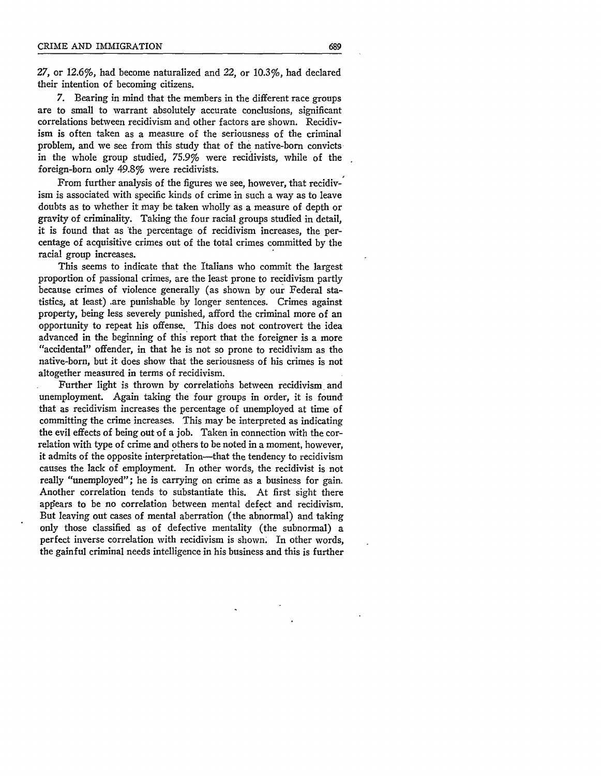27, or 12.6%, had become naturalized and 22, or 10.3%, had declared their intention of becoming citizens.

*7.* Bearing in mind that the members in the different race groups are to small to warrant absolutely accurate conclusions, significant correlations between recidivism and other factors are shown. Recidivism is often taken as a measure of the seriousness of the criminal problem, and we see from this study that of the native-born convicts in the whole group studied, *75.9o* were recidivists, while of the foreign-born only 49.8% were recidivists.

From further analysis of the figures we see, however, that recidivism is associated with specific kinds of crime in such a way as to leave doubts as to whether it may be taken wholly as a measure of depth or gravity of criminality. Taking the four racial groups studied in detail, it is found that as the percentage of recidivism increases, the percentage of acquisitive crimes out of the total crimes committed by the racial group increases.

This seems to indicate that the Italians who commit the largest proportion of passional crimes, are the least prone to recidivism partly because crimes of violence generally (as shown by our Federal statistics, at least) .are punishable by longer sentences. Crimes against property, being less severely punished, afford the criminal more of an opportunity to repeat his offense. This does not controvert the idea advanced in the beginning of this report that the foreigner is a more "accidental" offender, in that he is not so prone to recidivism as the native-born, but it does show that the seriousness of his crimes is not altogether measured in terms of recidivism.

Further light is thrown by correlations between recidivism and unemployment. Again taking the four groups in order, it is found that as recidivism increases the percentage of unemployed at time of committing the crime increases. This may be interpreted as indicating the evil effects of being out of a job. Taken in connection with the correlation with type of crime and others to be noted in a moment, however, it admits of the opposite interpretation—that the tendency to recidivism causes the lack of employment. In other words, the recidivist is not really "unemployed"; he is carrying on crime as a business for gain. Another correlation tends to substantiate this. At first sight there appears to be no correlation between mental defect and recidivism. But leaving out cases of mental aberration (the abnormal) and taking only those classified as of defective mentality (the subnormal) a perfect inverse correlation with recidivism is shown. In other words, the gainful criminal needs intelligence in his business and this is further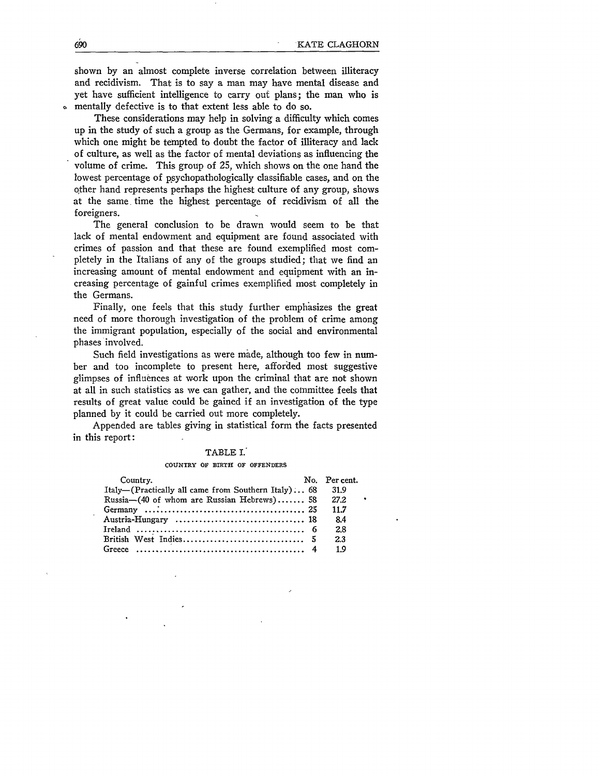shown by an almost complete inverse correlation between illiteracy and recidivism. That is to say a man may have mental disease and yet have sufficient intelligence to carry out plans; the man who is mentally defective is to that extent less able to do so.

These considerations may help in solving a difficulty which comes up in the study of such a group as the Germans, for example, through which one might be tempted to doubt the factor of illiteracy and lack of culture, as well as the factor of mental deviations as influencing the volume of crime. This group of 25, which shows on the one hand the lowest percentage of psychopathologically classifiable cases, and on the other hand represents perhaps the highest culture of any group, shows at the same time the highest percentage of recidivism of all the foreigners.

The general conclusion to be drawn would seem to be that lack of mental endowment and equipment are found associated with crimes of passion and that these are found exemplified most completely in the Italians of any of the groups studied; that we find an increasing amount of mental endowment and equipment with an increasing percentage of gainful crimes exemplified most completely in the Germans.

Finally, one feels that this study further emphasizes the great need of more thorough investigation of the problem of crime among the immigrant population, especially of the social and environmental phases involved.

Such field investigations as were made, although too few in number and too incomplete to present here, afforded most suggestive glimpses of influences at work upon the criminal that are not shown at all in such statistics as we can gather, and the committee feels that results of great value could be gained if an investigation of the type planned by it could be carried out more completely.

Appended are tables giving in statistical form the facts presented in this report:

#### TABLE I.

#### COUNTRY **OF** BIRTH **OF OFFENDERS**

| Country.                                            | No. Per cent. |
|-----------------------------------------------------|---------------|
| Italy—(Practically all came from Southern Italy) 68 | 31.9          |
| Russia-(40 of whom are Russian Hebrews) 58          | 27.2          |
|                                                     | 11.7          |
|                                                     | 84            |
|                                                     | 2.8           |
|                                                     | 23            |
|                                                     | 1 Q           |

 $\delta$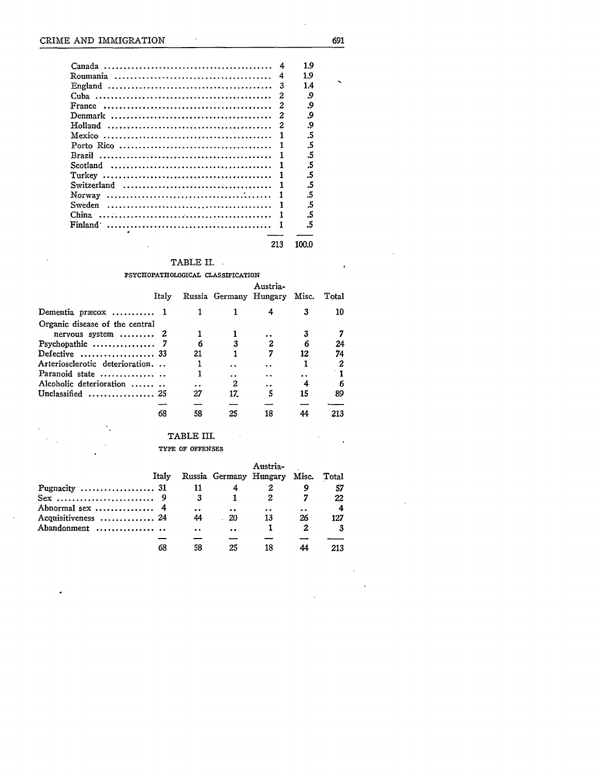$\bar{t}$ 

 $\mathcal{A}^{\pm}$  $\bar{\beta}$ 

 $\bar{z}$ 

| 4            | 1.9   |
|--------------|-------|
|              | 1.9   |
| - 3          | 1.4   |
| 2            | .9    |
| 2            | .9    |
| 2            | .9    |
| 2            | .9    |
| $\mathbf{1}$ | .5    |
| 1            | .5    |
|              | .5    |
| Ĭ.           | .5    |
| 1            | .5    |
| -1           | .5    |
|              | .5    |
|              | .5    |
| -1           | .5    |
|              | .5    |
|              |       |
| 213          | 100.0 |
|              |       |

## TABLE II.

## PSYCHOPATHOLOGICAL CLASSIFICATION

| Italy                                                            |    | Russia Germany Hungary Misc. | Austria-             |    | Total |
|------------------------------------------------------------------|----|------------------------------|----------------------|----|-------|
| Dementia præcox  1                                               |    |                              |                      | 3  | 10    |
| Organic disease of the central<br>nervous system $\dots \dots$ 2 |    |                              |                      | 3  |       |
|                                                                  | 6  |                              | 2                    | 6  | 24    |
| Defective $\ldots \ldots \ldots \ldots \ldots$ 33                | 21 |                              | 7                    | 12 | 74    |
| Arteriosclerotic deterioration                                   |    | . .                          |                      |    | 2     |
| Paranoid state                                                   |    |                              |                      |    |       |
| Alcoholic deterioration                                          |    | 2                            | $\ddot{\phantom{a}}$ | 4  | 6     |
| Unclassified $\ldots \ldots \ldots \ldots \ldots$ 25             | 27 | 17.                          | 5                    | 15 | 89    |
|                                                                  |    |                              |                      |    |       |
| 68                                                               | 58 | 25                           | 18                   | 44 | 213   |

## TABLE III.

 $\sim$ 

## TYPE OF **OFFENSES**

|                     |       |           |                      | Austria-                     |                      |       |
|---------------------|-------|-----------|----------------------|------------------------------|----------------------|-------|
|                     | Italy |           |                      | Russia Germany Hungary Misc. |                      | Total |
|                     |       |           |                      |                              |                      | 57    |
|                     |       |           |                      |                              |                      | 22    |
| Abnormal sex  4     |       | $\bullet$ | $\ddot{\phantom{0}}$ | $\ddot{\phantom{a}}$         | $\ddot{\phantom{a}}$ | 4     |
| Acquisitiveness  24 |       | 44        | -20                  | 13                           | 26                   | 127   |
| Abandonment         |       | $\bullet$ | $\ddot{\phantom{a}}$ |                              |                      |       |
|                     |       |           |                      |                              |                      |       |
|                     | 68    | 58        | つら                   | 18                           |                      | 213   |

 $\ddot{\phantom{0}}$ 

 $\mathcal{L}$ 

J.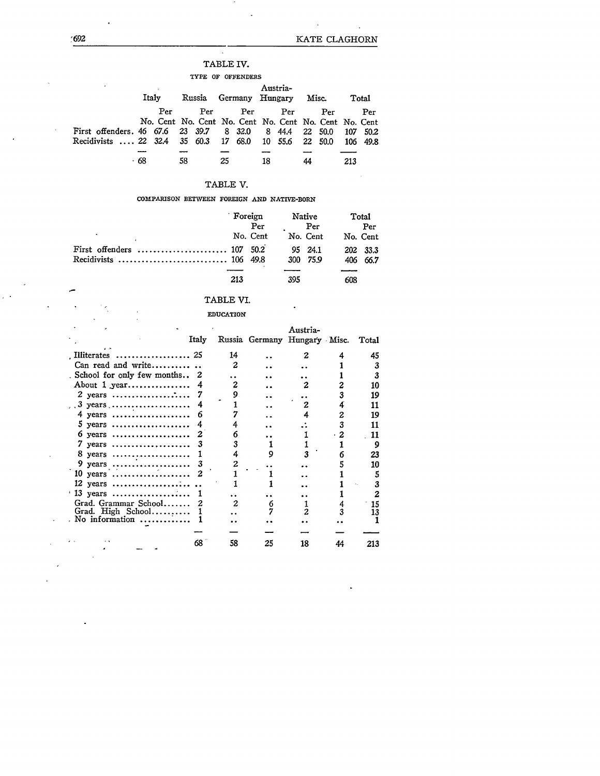## TABLE IV. **TYPE OF OFFENDERS**

|                                                                 | Italy |     |    | Russia Germany Hungary Misc.                          |    |     | Austria- |           |    |     |     | Total |
|-----------------------------------------------------------------|-------|-----|----|-------------------------------------------------------|----|-----|----------|-----------|----|-----|-----|-------|
|                                                                 |       | Per |    | Per                                                   |    | Per |          | $\rm Per$ |    | Per |     | Per   |
|                                                                 |       |     |    | No. Cent No. Cent No. Cent No. Cent No. Cent No. Cent |    |     |          |           |    |     |     |       |
| First offenders. 46 67.6 23 39.7 8 32.0 8 44.4 22 50.0 107 50.2 |       |     |    |                                                       |    |     |          |           |    |     |     |       |
| Recidivists , 22 32.4 35 60.3 17 68.0 10 55.6 22 50.0 106 49.8  |       |     |    |                                                       |    |     |          |           |    |     |     |       |
|                                                                 |       |     |    |                                                       |    |     |          |           |    |     |     |       |
|                                                                 | - 68  |     | 58 |                                                       | 25 |     | 18       |           | 44 |     | 213 |       |
|                                                                 |       |     |    |                                                       |    |     |          |           |    |     |     |       |

## TABLE V.

**COMPARISON BETWEEN FOREIGN AND NATIVE-BORN**

|                | Foreign |          |     | Native   | Total |          |  |
|----------------|---------|----------|-----|----------|-------|----------|--|
|                |         | Per      |     | Per      |       | Per      |  |
| $\blacksquare$ |         | No. Cent |     | No. Cent |       | No. Cent |  |
|                |         |          |     | 95 24.1  |       | 202 33.3 |  |
|                |         |          |     | 300 75.9 |       | 406 66.7 |  |
|                |         |          |     |          |       |          |  |
|                | 213     |          | 395 |          | 608   |          |  |

## TABLE VI. **EDUCATION**

|                                                        | Italy |    |    | Austria-<br>Russia Germany Hungary Misc. Total |     |     |
|--------------------------------------------------------|-------|----|----|------------------------------------------------|-----|-----|
|                                                        |       | 14 |    |                                                |     | 45  |
| Can read and write                                     |       |    |    |                                                |     | 3   |
| School for only few months                             | 2     |    |    |                                                |     | 3   |
| About 1 year                                           | 4     |    |    |                                                |     | 10  |
| $2 \text{ years} \dots \dots \dots \dots \dots \dots$  | 7     |    |    |                                                |     | 19  |
| $3$ years                                              |       |    |    |                                                |     | 11  |
| 4 years                                                |       |    |    |                                                | 2   | 19  |
| 5 years                                                |       |    |    |                                                | 3   | 11  |
| $6$ years                                              |       |    |    |                                                | - 2 | 11  |
| $7$ years                                              | 3     |    |    |                                                |     | 9   |
| 8 years                                                |       |    |    |                                                |     | 23  |
| 9 years $\dots\dots\dots\dots\dots\dots\dots$          | 3     |    |    |                                                |     | 10  |
| 10 years                                               |       |    |    |                                                |     | 5   |
| $12 \text{ years} \dots \dots \dots \dots \dots \dots$ |       |    |    |                                                |     |     |
| $13$ years                                             |       |    |    |                                                |     |     |
| Grad. Grammar School                                   | 2     | 2  |    |                                                |     | 15  |
| Grad. High School                                      |       |    |    |                                                |     |     |
| No information                                         |       |    |    |                                                |     |     |
|                                                        |       |    |    |                                                |     |     |
|                                                        | 68    | 58 | 25 | 18                                             | 44  | 213 |

 $\mathcal{C}_{\mathcal{A}}$ 

 $\hat{\mathcal{L}}$  .